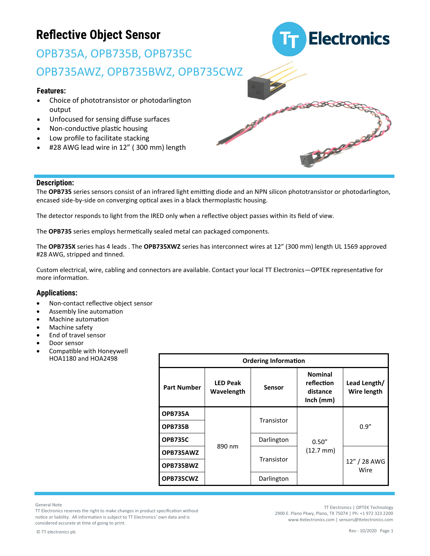# OPB735A, OPB735B, OPB735C OPB735AWZ, OPB735BWZ, OPB735CWZ

#### **Features:**

- Choice of phototransistor or photodarlington output
- Unfocused for sensing diffuse surfaces
- Non-conductive plastic housing
- Low profile to facilitate stacking
- #28 AWG lead wire in 12" (300 mm) length



#### **Description:**

The **OPB735** series sensors consist of an infrared light emitting diode and an NPN silicon phototransistor or photodarlington, encased side-by-side on converging optical axes in a black thermoplastic housing.

The detector responds to light from the IRED only when a reflective object passes within its field of view.

The **OPB735** series employs hermetically sealed metal can packaged components.

The **OPB735X** series has 4 leads . The **OPB735XWZ** series has interconnect wires at 12" (300 mm) length UL 1569 approved #28 AWG, stripped and tinned.

Custom electrical, wire, cabling and connectors are available. Contact your local TT Electronics—OPTEK representative for more information.

#### **Applications:**

- Non-contact reflective object sensor
- Assembly line automation
- Machine automation
- Machine safety
- End of travel sensor
- Door sensor
- Compatible with Honeywell HOA1180 and HOA2498

| <b>Ordering Information</b> |                               |               |                                                         |                             |  |  |  |  |
|-----------------------------|-------------------------------|---------------|---------------------------------------------------------|-----------------------------|--|--|--|--|
| <b>Part Number</b>          | <b>LED Peak</b><br>Wavelength | <b>Sensor</b> | <b>Nominal</b><br>reflection<br>distance<br>$lnch$ (mm) | Lead Length/<br>Wire length |  |  |  |  |
| <b>OPB735A</b>              |                               | Transistor    |                                                         | 0.9''                       |  |  |  |  |
| <b>OPB735B</b>              |                               |               |                                                         |                             |  |  |  |  |
| <b>OPB735C</b>              | 890 nm                        | Darlington    | 0.50''                                                  |                             |  |  |  |  |
| OPB735AWZ                   |                               | Transistor    | $(12.7 \text{ mm})$                                     | 12" / 28 AWG<br>Wire        |  |  |  |  |
| OPB735BWZ                   |                               |               |                                                         |                             |  |  |  |  |
| OPB735CWZ                   |                               | Darlington    |                                                         |                             |  |  |  |  |

General Note

TT Electronics reserves the right to make changes in product specification without notice or liability. All information is subject to TT Electronics' own data and is considered accurate at time of going to print.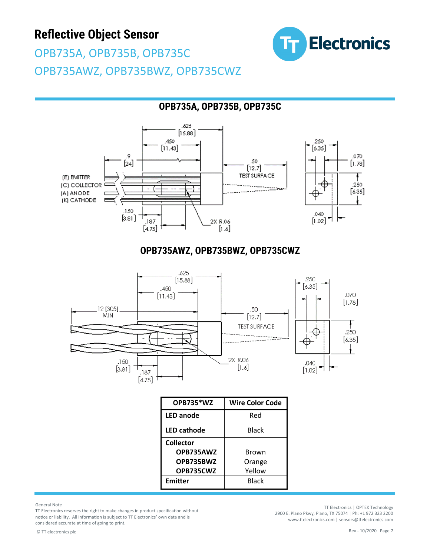

OPB735A, OPB735B, OPB735C OPB735AWZ, OPB735BWZ, OPB735CWZ

### **OPB735A, OPB735B, OPB735C**





#### **OPB735AWZ, OPB735BWZ, OPB735CWZ**



| OPB735*WZ          | <b>Wire Color Code</b> |  |  |  |
|--------------------|------------------------|--|--|--|
| <b>LED</b> anode   | Red                    |  |  |  |
| <b>LED cathode</b> | Black                  |  |  |  |
| <b>Collector</b>   |                        |  |  |  |
| OPB735AWZ          | Brown                  |  |  |  |
| OPB735BWZ          | Orange                 |  |  |  |
| OPB735CWZ          | Yellow                 |  |  |  |
| Emitter            | Black                  |  |  |  |

General Note

TT Electronics reserves the right to make changes in product specification without notice or liability. All information is subject to TT Electronics' own data and is considered accurate at time of going to print.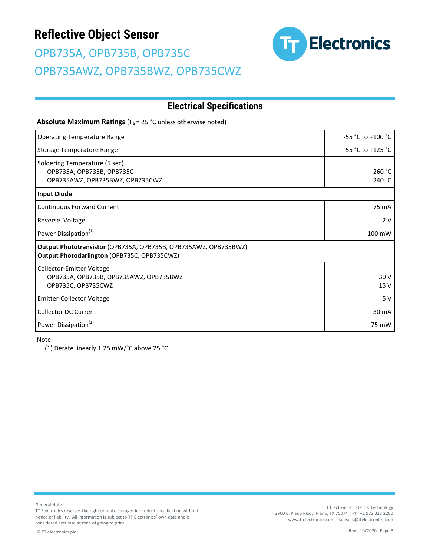# OPB735A, OPB735B, OPB735C OPB735AWZ, OPB735BWZ, OPB735CWZ



### **Electrical Specifications**

**Absolute Maximum Ratings** (T<sub>A</sub> = 25 °C unless otherwise noted)

| <b>Operating Temperature Range</b>                                                                             | $-55 °C$ to $+100 °C$ |  |  |  |
|----------------------------------------------------------------------------------------------------------------|-----------------------|--|--|--|
| Storage Temperature Range                                                                                      | -55 °C to +125 °C     |  |  |  |
| Soldering Temperature (5 sec)<br>OPB735A, OPB735B, OPB735C<br>OPB735AWZ, OPB735BWZ, OPB735CWZ                  | 260 °C<br>240 °C      |  |  |  |
| <b>Input Diode</b>                                                                                             |                       |  |  |  |
| Continuous Forward Current                                                                                     | 75 mA                 |  |  |  |
| Reverse Voltage                                                                                                | 2 V                   |  |  |  |
| Power Dissipation <sup>(1)</sup>                                                                               | 100 mW                |  |  |  |
| Output Phototransistor (OPB735A, OPB735B, OPB735AWZ, OPB735BWZ)<br>Output Photodarlington (OPB735C, OPB735CWZ) |                       |  |  |  |
| Collector-Emitter Voltage<br>OPB735A, OPB735B, OPB735AWZ, OPB735BWZ<br>OPB735C, OPB735CWZ                      | 30 V<br>15 V          |  |  |  |
| <b>Emitter-Collector Voltage</b>                                                                               | 5V                    |  |  |  |
| <b>Collector DC Current</b>                                                                                    | 30 mA                 |  |  |  |
| Power Dissipation <sup>(1)</sup>                                                                               | 75 mW                 |  |  |  |

Note:

(1) Derate linearly 1.25 mW/°C above 25 °C

General Note

TT Electronics reserves the right to make changes in product specification without notice or liability. All information is subject to TT Electronics' own data and is considered accurate at time of going to print.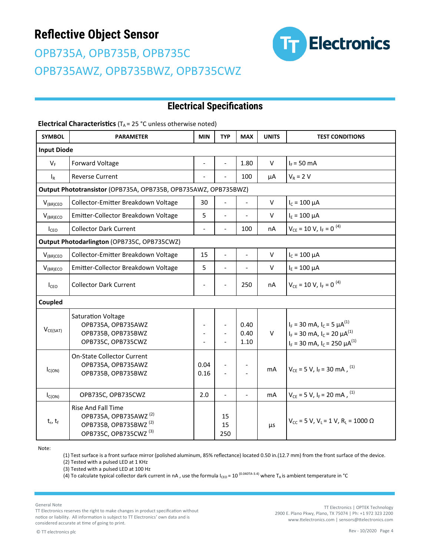# OPB735A, OPB735B, OPB735C OPB735AWZ, OPB735BWZ, OPB735CWZ



### **Electrical Specifications**

#### **Electrical Characteristics** (T<sub>A</sub> = 25 °C unless otherwise noted)

| <b>SYMBOL</b>                                                   | <b>PARAMETER</b>                                                                                                                         | <b>MIN</b>               | <b>TYP</b>                   | <b>MAX</b>               | <b>UNITS</b> | <b>TEST CONDITIONS</b>                                                                                                        |  |  |
|-----------------------------------------------------------------|------------------------------------------------------------------------------------------------------------------------------------------|--------------------------|------------------------------|--------------------------|--------------|-------------------------------------------------------------------------------------------------------------------------------|--|--|
| <b>Input Diode</b>                                              |                                                                                                                                          |                          |                              |                          |              |                                                                                                                               |  |  |
| $V_F$                                                           | Forward Voltage                                                                                                                          | $\overline{\phantom{a}}$ | $\qquad \qquad \blacksquare$ | 1.80                     | V            | $I_F = 50$ mA                                                                                                                 |  |  |
| $I_R$                                                           | <b>Reverse Current</b>                                                                                                                   |                          |                              | 100                      | μA           | $V_R = 2 V$                                                                                                                   |  |  |
| Output Phototransistor (OPB735A, OPB735B, OPB735AWZ, OPB735BWZ) |                                                                                                                                          |                          |                              |                          |              |                                                                                                                               |  |  |
| $V_{(BR)CEO}$                                                   | Collector-Emitter Breakdown Voltage                                                                                                      | 30                       |                              |                          | V            | $I_c = 100 \mu A$                                                                                                             |  |  |
| $V_{(BR)ECO}$                                                   | Emitter-Collector Breakdown Voltage                                                                                                      | 5                        | $\overline{a}$               |                          | V            | $I_{E} = 100 \mu A$                                                                                                           |  |  |
| I <sub>CEO</sub>                                                | <b>Collector Dark Current</b>                                                                                                            | $\overline{\phantom{a}}$ | $\overline{a}$               | 100                      | nA           | $V_{CE}$ = 10 V, $I_F$ = 0 <sup>(4)</sup>                                                                                     |  |  |
| Output Photodarlington (OPB735C, OPB735CWZ)                     |                                                                                                                                          |                          |                              |                          |              |                                                                                                                               |  |  |
| $V_{(BR)CEO}$                                                   | Collector-Emitter Breakdown Voltage                                                                                                      | 15                       | $\overline{\phantom{a}}$     | $\overline{\phantom{a}}$ | V            | $I_c = 100 \mu A$                                                                                                             |  |  |
| $V_{(BR)ECO}$                                                   | Emitter-Collector Breakdown Voltage                                                                                                      | 5                        | $\overline{a}$               |                          | V            | $I_E = 100 \mu A$                                                                                                             |  |  |
| $I_{ceO}$                                                       | <b>Collector Dark Current</b>                                                                                                            | $\overline{\phantom{a}}$ |                              | 250                      | nA           | $V_{CF}$ = 10 V, $I_F$ = 0 <sup>(4)</sup>                                                                                     |  |  |
| Coupled                                                         |                                                                                                                                          |                          |                              |                          |              |                                                                                                                               |  |  |
| $V_{CE(SAT)}$                                                   | <b>Saturation Voltage</b><br>OPB735A, OPB735AWZ<br>OPB735B, OPB735BWZ<br>OPB735C, OPB735CWZ                                              |                          |                              | 0.40<br>0.40<br>1.10     | V            | $I_F$ = 30 mA, $I_C$ = 5 $\mu A^{(1)}$<br>$I_F$ = 30 mA, $I_C$ = 20 $\mu A^{(1)}$<br>$I_F$ = 30 mA, $I_C$ = 250 $\mu A^{(1)}$ |  |  |
| $I_{C(ON)}$                                                     | <b>On-State Collector Current</b><br>OPB735A, OPB735AWZ<br>OPB735B, OPB735BWZ                                                            | 0.04<br>0.16             |                              |                          | mA           | $V_{CF}$ = 5 V, I <sub>F</sub> = 30 mA, <sup>(1)</sup>                                                                        |  |  |
| $I_{C(ON)}$                                                     | OPB735C, OPB735CWZ                                                                                                                       | 2.0                      | $\overline{a}$               |                          | mA           | $V_{CE}$ = 5 V, I <sub>F</sub> = 20 mA, <sup>(1)</sup>                                                                        |  |  |
| $t_r$ , $t_f$                                                   | <b>Rise And Fall Time</b><br>OPB735A, OPB735AWZ <sup>(2)</sup><br>OPB735B, OPB735BWZ <sup>(2)</sup><br>OPB735C, OPB735CWZ <sup>(3)</sup> |                          | 15<br>15<br>250              |                          | μs           | $V_{CC}$ = 5 V, V <sub>L</sub> = 1 V, R <sub>L</sub> = 1000 $\Omega$                                                          |  |  |

Note:

(1) Test surface is a front surface mirror (polished aluminum, 85% reflectance) located 0.50 in.(12.7 mm) from the front surface of the device. (2) Tested with a pulsed LED at 1 KHz

(3) Tested with a pulsed LED at 100 Hz

(4) To calculate typical collector dark current in nA, use the formula  $I_{CEO} = 10^{(0.0407A-3.4)}$  where T<sub>A</sub> is ambient temperature in °C

General Note

TT Electronics reserves the right to make changes in product specification without notice or liability. All information is subject to TT Electronics' own data and is considered accurate at time of going to print.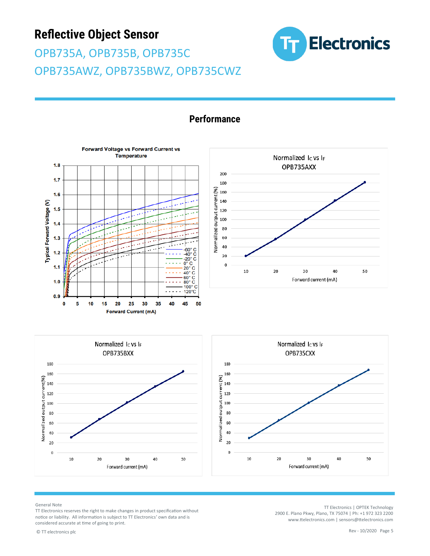OPB735A, OPB735B, OPB735C OPB735AWZ, OPB735BWZ, OPB735CWZ





#### **Performance**







General Note

TT Electronics reserves the right to make changes in product specification without notice or liability. All information is subject to TT Electronics' own data and is considered accurate at time of going to print.